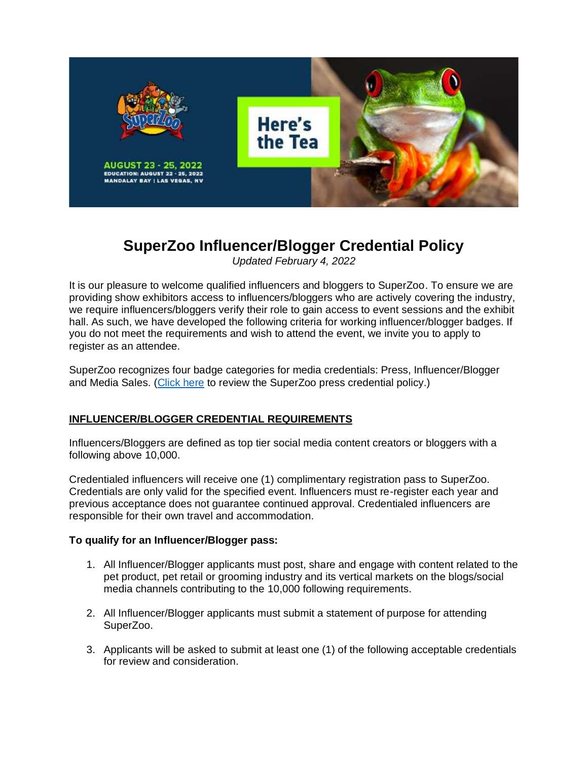

# **SuperZoo Influencer/Blogger Credential Policy**

*Updated February 4, 2022*

It is our pleasure to welcome qualified influencers and bloggers to SuperZoo. To ensure we are providing show exhibitors access to influencers/bloggers who are actively covering the industry, we require influencers/bloggers verify their role to gain access to event sessions and the exhibit hall. As such, we have developed the following criteria for working influencer/blogger badges. If you do not meet the requirements and wish to attend the event, we invite you to apply to register as an attendee.

SuperZoo recognizes four badge categories for media credentials: Press, Influencer/Blogger and Media Sales. [\(Click here](https://www.superzoo.org/press/services-contacts/) to review the SuperZoo press credential policy.)

# **INFLUENCER/BLOGGER CREDENTIAL REQUIREMENTS**

Influencers/Bloggers are defined as top tier social media content creators or bloggers with a following above 10,000.

Credentialed influencers will receive one (1) complimentary registration pass to SuperZoo. Credentials are only valid for the specified event. Influencers must re-register each year and previous acceptance does not guarantee continued approval. Credentialed influencers are responsible for their own travel and accommodation.

### **To qualify for an Influencer/Blogger pass:**

- 1. All Influencer/Blogger applicants must post, share and engage with content related to the pet product, pet retail or grooming industry and its vertical markets on the blogs/social media channels contributing to the 10,000 following requirements.
- 2. All Influencer/Blogger applicants must submit a statement of purpose for attending SuperZoo.
- 3. Applicants will be asked to submit at least one (1) of the following acceptable credentials for review and consideration.